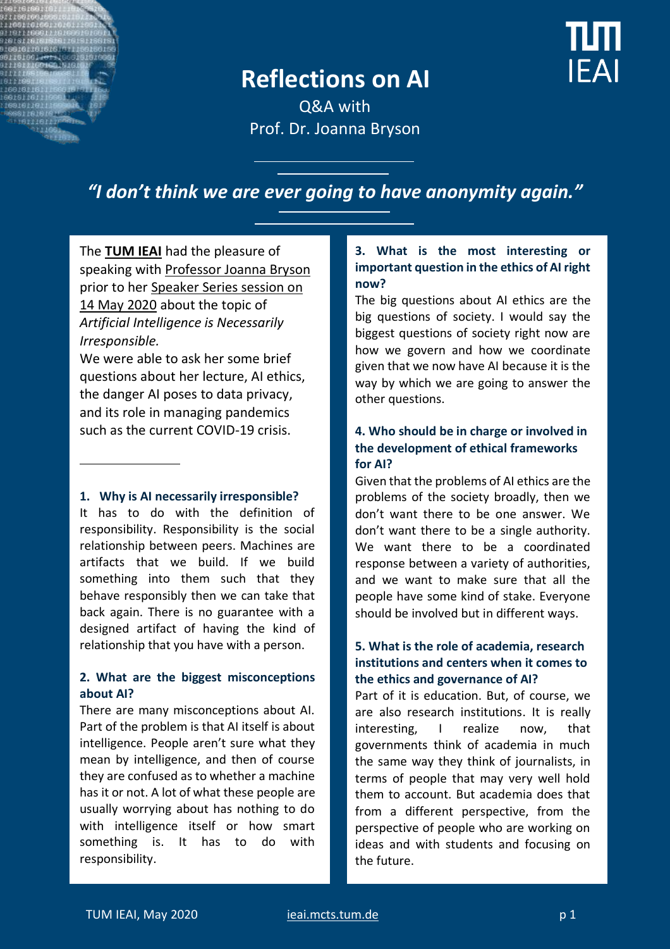

ПП **IFAI** 

Q&A with Prof. Dr. Joanna Bryson

# *"I don't think we are ever going to have anonymity again."*

The **[TUM IEAI](https://ieai.mcts.tum.de/)** had the pleasure of speaking with [Professor Joanna Bryson](https://www.linkedin.com/in/bryson/) prior to her [Speaker Series session on](https://ieai.mcts.tum.de/event/ieai-speaker-series-with-prof-dr-joanna-bryson/)  [14 May 2020](https://ieai.mcts.tum.de/event/ieai-speaker-series-with-prof-dr-joanna-bryson/) about the topic of *Artificial Intelligence is Necessarily Irresponsible.* 

We were able to ask her some brief questions about her lecture, AI ethics, the danger AI poses to data privacy, and its role in managing pandemics such as the current COVID-19 crisis.

#### **1. Why is AI necessarily irresponsible?**

It has to do with the definition of responsibility. Responsibility is the social relationship between peers. Machines are artifacts that we build. If we build something into them such that they behave responsibly then we can take that back again. There is no guarantee with a designed artifact of having the kind of relationship that you have with a person.

#### **2. What are the biggest misconceptions about AI?**

There are many misconceptions about AI. Part of the problem is that AI itself is about intelligence. People aren't sure what they mean by intelligence, and then of course they are confused as to whether a machine has it or not. A lot of what these people are usually worrying about has nothing to do with intelligence itself or how smart something is. It has to do with responsibility.

### **3. What is the most interesting or important question in the ethics of AI right now?**

The big questions about AI ethics are the big questions of society. I would say the biggest questions of society right now are how we govern and how we coordinate given that we now have AI because it is the way by which we are going to answer the other questions.

### **4. Who should be in charge or involved in the development of ethical frameworks for AI?**

Given that the problems of AI ethics are the problems of the society broadly, then we don't want there to be one answer. We don't want there to be a single authority. We want there to be a coordinated response between a variety of authorities, and we want to make sure that all the people have some kind of stake. Everyone should be involved but in different ways.

#### **5. What is the role of academia, research institutions and centers when it comes to the ethics and governance of AI?**

Part of it is education. But, of course, we are also research institutions. It is really interesting, I realize now, that governments think of academia in much the same way they think of journalists, in terms of people that may very well hold them to account. But academia does that from a different perspective, from the perspective of people who are working on ideas and with students and focusing on the future.